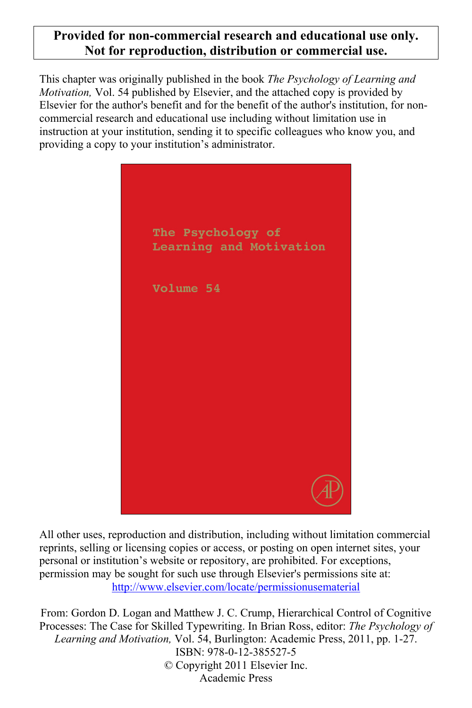# **Provided for non-commercial research and educational use only. Not for reproduction, distribution or commercial use.**

This chapter was originally published in the book *The Psychology of Learning and Motivation,* Vol. 54 published by Elsevier, and the attached copy is provided by Elsevier for the author's benefit and for the benefit of the author's institution, for noncommercial research and educational use including without limitation use in instruction at your institution, sending it to specific colleagues who know you, and providing a copy to your institution's administrator.



All other uses, reproduction and distribution, including without limitation commercial reprints, selling or licensing copies or access, or posting on open internet sites, your personal or institution's website or repository, are prohibited. For exceptions, permission may be sought for such use through Elsevier's permissions site at: http://www.elsevier.com/locate/permissionusematerial

From: Gordon D. Logan and Matthew J. C. Crump, Hierarchical Control of Cognitive Processes: The Case for Skilled Typewriting. In Brian Ross, editor: *The Psychology of Learning and Motivation,* Vol. 54, Burlington: Academic Press, 2011, pp. 1-27. ISBN: 978-0-12-385527-5 © Copyright 2011 Elsevier Inc. Academic Press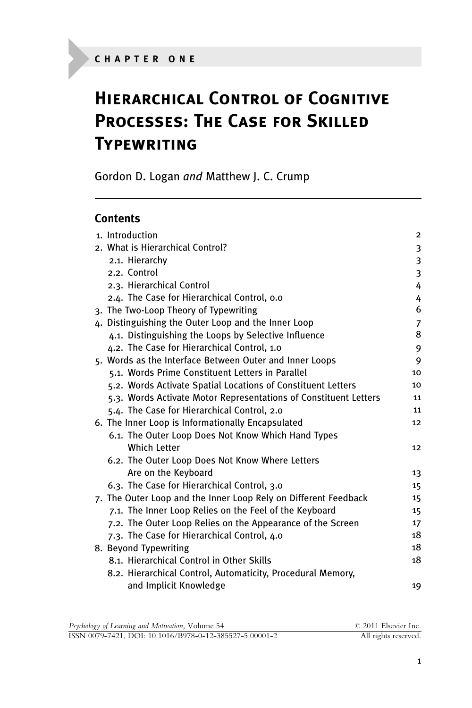# Hierarchical Control of Cognitive Processes: The Case for Skilled **TYPEWRITING**

Gordon D. Logan and Matthew J. C. Crump

# **Contents**

| 1. Introduction                                                  | $\overline{2}$ |
|------------------------------------------------------------------|----------------|
| 2. What is Hierarchical Control?                                 | 3              |
| 2.1. Hierarchy                                                   | 3              |
| 2.2. Control                                                     | 3              |
| 2.3. Hierarchical Control                                        | 4              |
| 2.4. The Case for Hierarchical Control, 0.0                      | 4              |
| 3. The Two-Loop Theory of Typewriting                            | 6              |
| 4. Distinguishing the Outer Loop and the Inner Loop              | 7              |
| 4.1. Distinguishing the Loops by Selective Influence             | 8              |
| 4.2. The Case for Hierarchical Control, 1.0                      | 9              |
| 5. Words as the Interface Between Outer and Inner Loops          | 9              |
| 5.1. Words Prime Constituent Letters in Parallel                 | 10             |
| 5.2. Words Activate Spatial Locations of Constituent Letters     | 10             |
| 5.3. Words Activate Motor Representations of Constituent Letters | 11             |
| 5.4. The Case for Hierarchical Control, 2.0                      | 11             |
| 6. The Inner Loop is Informationally Encapsulated                | 12             |
| 6.1. The Outer Loop Does Not Know Which Hand Types               |                |
| <b>Which Letter</b>                                              | 12             |
| 6.2. The Outer Loop Does Not Know Where Letters                  |                |
| Are on the Keyboard                                              | 13             |
| 6.3. The Case for Hierarchical Control, 3.0                      | 15             |
| 7. The Outer Loop and the Inner Loop Rely on Different Feedback  | 15             |
| 7.1. The Inner Loop Relies on the Feel of the Keyboard           | 15             |
| 7.2. The Outer Loop Relies on the Appearance of the Screen       | 17             |
| 7.3. The Case for Hierarchical Control, 4.0                      | 18             |
| 8. Beyond Typewriting                                            | 18             |
| 8.1. Hierarchical Control in Other Skills                        | 18             |
| 8.2. Hierarchical Control, Automaticity, Procedural Memory,      |                |
| and Implicit Knowledge                                           | 19             |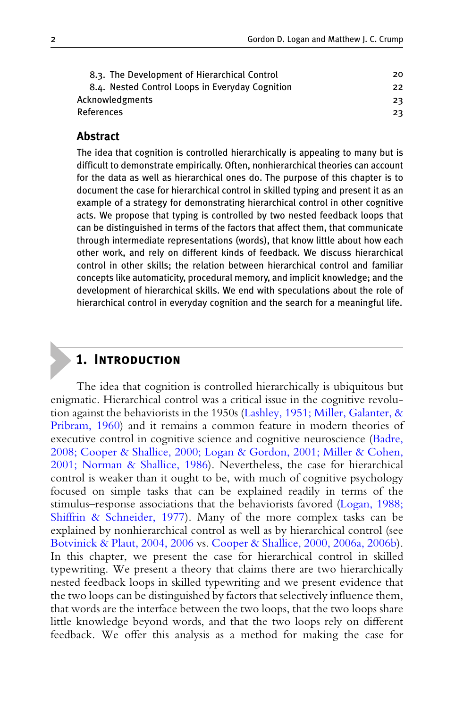| 8.3. The Development of Hierarchical Control    | 20 |
|-------------------------------------------------|----|
| 8.4. Nested Control Loops in Everyday Cognition | 22 |
| Acknowledgments                                 |    |
| References                                      | 23 |

#### Abstract

The idea that cognition is controlled hierarchically is appealing to many but is difficult to demonstrate empirically. Often, nonhierarchical theories can account for the data as well as hierarchical ones do. The purpose of this chapter is to document the case for hierarchical control in skilled typing and present it as an example of a strategy for demonstrating hierarchical control in other cognitive acts. We propose that typing is controlled by two nested feedback loops that can be distinguished in terms of the factors that affect them, that communicate through intermediate representations (words), that know little about how each other work, and rely on different kinds of feedback. We discuss hierarchical control in other skills; the relation between hierarchical control and familiar concepts like automaticity, procedural memory, and implicit knowledge; and the development of hierarchical skills. We end with speculations about the role of hierarchical control in everyday cognition and the search for a meaningful life.

# 1. Introduction

The idea that cognition is controlled hierarchically is ubiquitous but enigmatic. Hierarchical control was a critical issue in the cognitive revolution against the behaviorists in the 1950s ([Lashley, 1951; Miller, Galanter, &](#page-24-0) [Pribram, 1960\)](#page-24-0) and it remains a common feature in modern theories of executive control in cognitive science and cognitive neuroscience [\(Badre,](#page-23-0) [2008; Cooper & Shallice, 2000; Logan & Gordon, 2001; Miller & Cohen,](#page-23-0) [2001; Norman & Shallice, 1986](#page-23-0)). Nevertheless, the case for hierarchical control is weaker than it ought to be, with much of cognitive psychology focused on simple tasks that can be explained readily in terms of the stimulus–response associations that the behaviorists favored [\(Logan, 1988;](#page-25-0) [Shiffrin & Schneider, 1977](#page-25-0)). Many of the more complex tasks can be explained by nonhierarchical control as well as by hierarchical control (see [Botvinick & Plaut, 2004, 2006](#page-23-0) vs. [Cooper & Shallice, 2000, 2006a, 2006b\)](#page-23-0). In this chapter, we present the case for hierarchical control in skilled typewriting. We present a theory that claims there are two hierarchically nested feedback loops in skilled typewriting and we present evidence that the two loops can be distinguished by factors that selectively influence them, that words are the interface between the two loops, that the two loops share little knowledge beyond words, and that the two loops rely on different feedback. We offer this analysis as a method for making the case for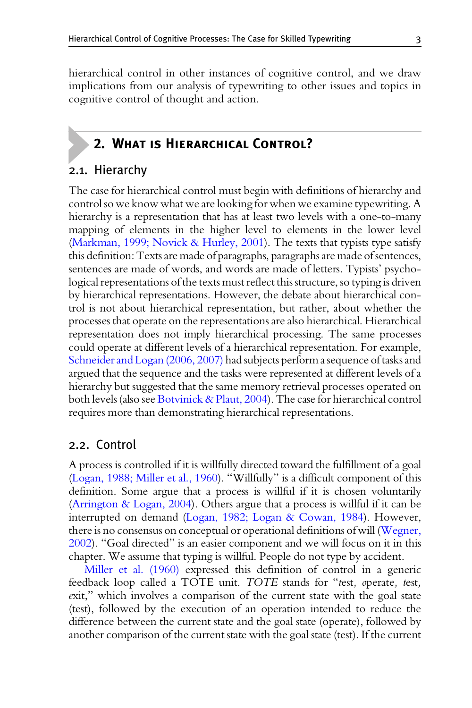hierarchical control in other instances of cognitive control, and we draw implications from our analysis of typewriting to other issues and topics in cognitive control of thought and action.

# 2. What is Hierarchical Control?

#### 2.1. Hierarchy

The case for hierarchical control must begin with definitions of hierarchy and control so we know what we are looking for when we examine typewriting. A hierarchy is a representation that has at least two levels with a one-to-many mapping of elements in the higher level to elements in the lower level [\(Markman, 1999; Novick & Hurley, 2001\)](#page-25-0). The texts that typists type satisfy this definition: Texts are made of paragraphs, paragraphs are made of sentences, sentences are made of words, and words are made of letters. Typists' psychological representations of the texts must reflect this structure, so typing is driven by hierarchical representations. However, the debate about hierarchical control is not about hierarchical representation, but rather, about whether the processes that operate on the representations are also hierarchical. Hierarchical representation does not imply hierarchical processing. The same processes could operate at different levels of a hierarchical representation. For example, [Schneider and Logan \(2006, 2007\)](#page-26-0) had subjects perform a sequence of tasks and argued that the sequence and the tasks were represented at different levels of a hierarchy but suggested that the same memory retrieval processes operated on both levels (also see [Botvinick & Plaut, 2004\)](#page-23-0). The case for hierarchical control requires more than demonstrating hierarchical representations.

#### 2.2. Control

A process is controlled if it is willfully directed toward the fulfillment of a goal [\(Logan, 1988; Miller et al., 1960](#page-25-0)). "Willfully" is a difficult component of this definition. Some argue that a process is willful if it is chosen voluntarily [\(Arrington & Logan, 2004](#page-23-0)). Others argue that a process is willful if it can be interrupted on demand [\(Logan, 1982; Logan & Cowan, 1984\)](#page-25-0). However, there is no consensus on conceptual or operational definitions of will [\(Wegner,](#page-27-0) [2002\)](#page-27-0). "Goal directed" is an easier component and we will focus on it in this chapter. We assume that typing is willful. People do not type by accident.

[Miller et al. \(1960\)](#page-25-0) expressed this definition of control in a generic feedback loop called a TOTE unit. TOTE stands for "test, operate, test, exit," which involves a comparison of the current state with the goal state (test), followed by the execution of an operation intended to reduce the difference between the current state and the goal state (operate), followed by another comparison of the current state with the goal state (test). If the current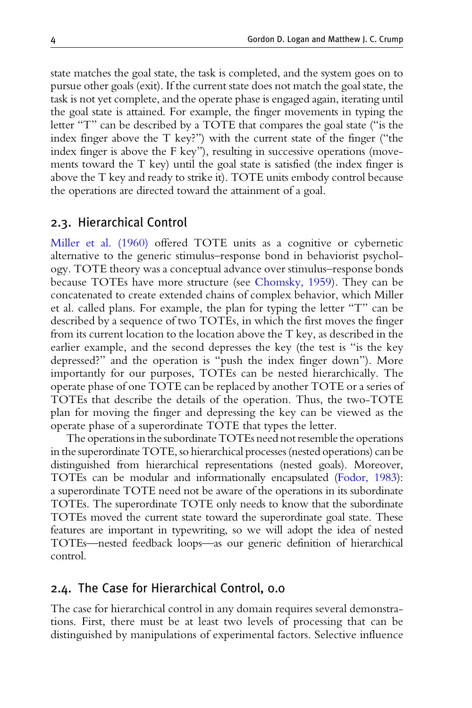state matches the goal state, the task is completed, and the system goes on to pursue other goals (exit). If the current state does not match the goal state, the task is not yet complete, and the operate phase is engaged again, iterating until the goal state is attained. For example, the finger movements in typing the letter "T" can be described by a TOTE that compares the goal state ("is the index finger above the T key?") with the current state of the finger ("the index finger is above the F key"), resulting in successive operations (movements toward the T key) until the goal state is satisfied (the index finger is above the T key and ready to strike it). TOTE units embody control because the operations are directed toward the attainment of a goal.

#### 2.3. Hierarchical Control

[Miller et al. \(1960\)](#page-25-0) offered TOTE units as a cognitive or cybernetic alternative to the generic stimulus–response bond in behaviorist psychology. TOTE theory was a conceptual advance over stimulus–response bonds because TOTEs have more structure (see [Chomsky, 1959](#page-23-0)). They can be concatenated to create extended chains of complex behavior, which Miller et al. called plans. For example, the plan for typing the letter "T" can be described by a sequence of two TOTEs, in which the first moves the finger from its current location to the location above the T key, as described in the earlier example, and the second depresses the key (the test is "is the key depressed?" and the operation is "push the index finger down"). More importantly for our purposes, TOTEs can be nested hierarchically. The operate phase of one TOTE can be replaced by another TOTE or a series of TOTEs that describe the details of the operation. Thus, the two-TOTE plan for moving the finger and depressing the key can be viewed as the operate phase of a superordinate TOTE that types the letter.

The operations in the subordinate TOTEs need not resemble the operations in the superordinate TOTE, so hierarchical processes (nested operations) can be distinguished from hierarchical representations (nested goals). Moreover, TOTEs can be modular and informationally encapsulated [\(Fodor, 1983](#page-24-0)): a superordinate TOTE need not be aware of the operations in its subordinate TOTEs. The superordinate TOTE only needs to know that the subordinate TOTEs moved the current state toward the superordinate goal state. These features are important in typewriting, so we will adopt the idea of nested TOTEs—nested feedback loops—as our generic definition of hierarchical control.

## 2.4. The Case for Hierarchical Control, 0.0

The case for hierarchical control in any domain requires several demonstrations. First, there must be at least two levels of processing that can be distinguished by manipulations of experimental factors. Selective influence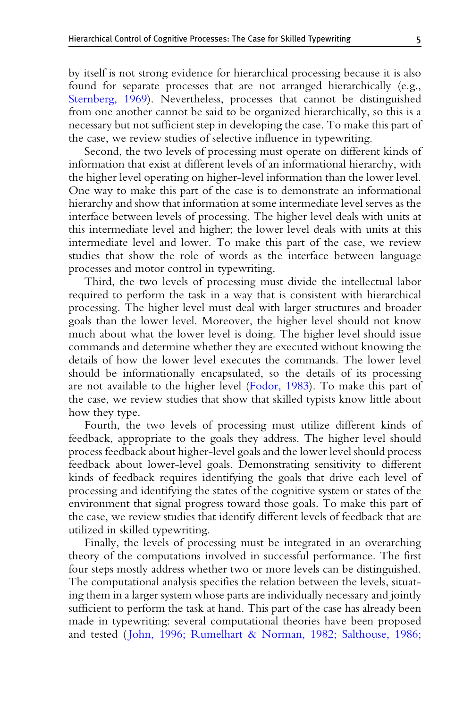by itself is not strong evidence for hierarchical processing because it is also found for separate processes that are not arranged hierarchically (e.g., [Sternberg, 1969\)](#page-27-0). Nevertheless, processes that cannot be distinguished from one another cannot be said to be organized hierarchically, so this is a necessary but not sufficient step in developing the case. To make this part of the case, we review studies of selective influence in typewriting.

Second, the two levels of processing must operate on different kinds of information that exist at different levels of an informational hierarchy, with the higher level operating on higher-level information than the lower level. One way to make this part of the case is to demonstrate an informational hierarchy and show that information at some intermediate level serves as the interface between levels of processing. The higher level deals with units at this intermediate level and higher; the lower level deals with units at this intermediate level and lower. To make this part of the case, we review studies that show the role of words as the interface between language processes and motor control in typewriting.

Third, the two levels of processing must divide the intellectual labor required to perform the task in a way that is consistent with hierarchical processing. The higher level must deal with larger structures and broader goals than the lower level. Moreover, the higher level should not know much about what the lower level is doing. The higher level should issue commands and determine whether they are executed without knowing the details of how the lower level executes the commands. The lower level should be informationally encapsulated, so the details of its processing are not available to the higher level [\(Fodor, 1983\)](#page-24-0). To make this part of the case, we review studies that show that skilled typists know little about how they type.

Fourth, the two levels of processing must utilize different kinds of feedback, appropriate to the goals they address. The higher level should process feedback about higher-level goals and the lower level should process feedback about lower-level goals. Demonstrating sensitivity to different kinds of feedback requires identifying the goals that drive each level of processing and identifying the states of the cognitive system or states of the environment that signal progress toward those goals. To make this part of the case, we review studies that identify different levels of feedback that are utilized in skilled typewriting.

Finally, the levels of processing must be integrated in an overarching theory of the computations involved in successful performance. The first four steps mostly address whether two or more levels can be distinguished. The computational analysis specifies the relation between the levels, situating them in a larger system whose parts are individually necessary and jointly sufficient to perform the task at hand. This part of the case has already been made in typewriting: several computational theories have been proposed and tested ([John, 1996; Rumelhart & Norman, 1982; Salthouse, 1986;](#page-24-0)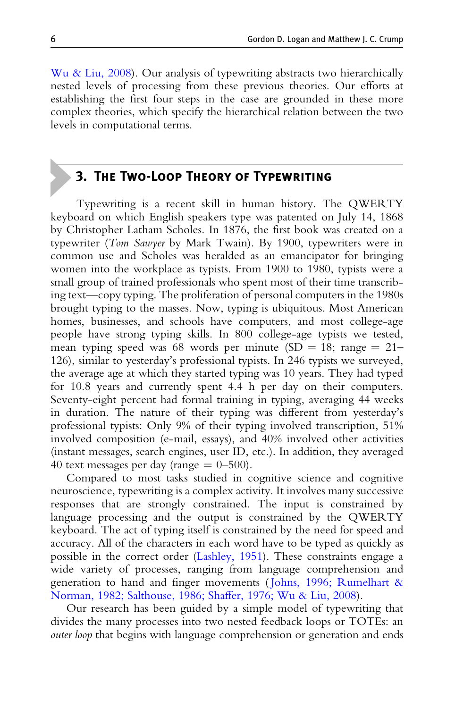[Wu & Liu, 2008](#page-24-0)). Our analysis of typewriting abstracts two hierarchically nested levels of processing from these previous theories. Our efforts at establishing the first four steps in the case are grounded in these more complex theories, which specify the hierarchical relation between the two levels in computational terms.

# 3. The Two-Loop Theory of Typewriting

Typewriting is a recent skill in human history. The QWERTY keyboard on which English speakers type was patented on July 14, 1868 by Christopher Latham Scholes. In 1876, the first book was created on a typewriter (Tom Sawyer by Mark Twain). By 1900, typewriters were in common use and Scholes was heralded as an emancipator for bringing women into the workplace as typists. From 1900 to 1980, typists were a small group of trained professionals who spent most of their time transcribing text—copy typing. The proliferation of personal computers in the 1980s brought typing to the masses. Now, typing is ubiquitous. Most American homes, businesses, and schools have computers, and most college-age people have strong typing skills. In 800 college-age typists we tested, mean typing speed was 68 words per minute  $(SD = 18; \text{ range} = 21-$ 126), similar to yesterday's professional typists. In 246 typists we surveyed, the average age at which they started typing was 10 years. They had typed for 10.8 years and currently spent 4.4 h per day on their computers. Seventy-eight percent had formal training in typing, averaging 44 weeks in duration. The nature of their typing was different from yesterday's professional typists: Only 9% of their typing involved transcription, 51% involved composition (e-mail, essays), and 40% involved other activities (instant messages, search engines, user ID, etc.). In addition, they averaged 40 text messages per day (range  $= 0$ –500).

Compared to most tasks studied in cognitive science and cognitive neuroscience, typewriting is a complex activity. It involves many successive responses that are strongly constrained. The input is constrained by language processing and the output is constrained by the QWERTY keyboard. The act of typing itself is constrained by the need for speed and accuracy. All of the characters in each word have to be typed as quickly as possible in the correct order ([Lashley, 1951](#page-24-0)). These constraints engage a wide variety of processes, ranging from language comprehension and generation to hand and finger movements ( [Johns, 1996; Rumelhart &](#page-24-0) [Norman, 1982; Salthouse, 1986; Shaffer, 1976; Wu & Liu, 2008](#page-24-0)).

Our research has been guided by a simple model of typewriting that divides the many processes into two nested feedback loops or TOTEs: an outer loop that begins with language comprehension or generation and ends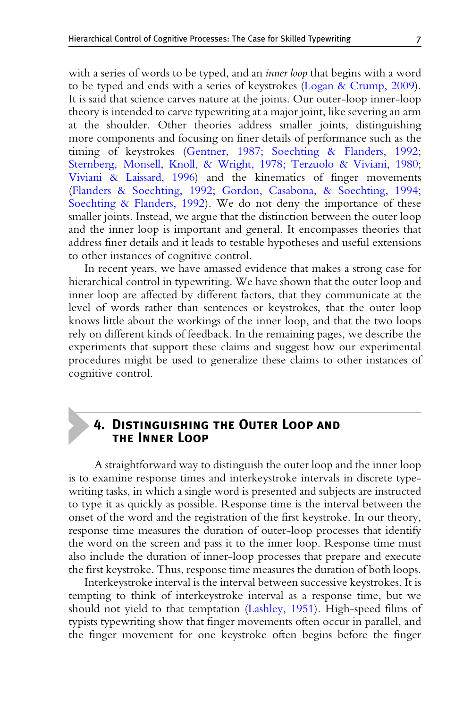with a series of words to be typed, and an inner loop that begins with a word to be typed and ends with a series of keystrokes ([Logan & Crump, 2009](#page-25-0)). It is said that science carves nature at the joints. Our outer-loop inner-loop theory is intended to carve typewriting at a major joint, like severing an arm at the shoulder. Other theories address smaller joints, distinguishing more components and focusing on finer details of performance such as the timing of keystrokes ([Gentner, 1987; Soechting & Flanders, 1992;](#page-24-0) [Sternberg, Monsell, Knoll, & Wright, 1978; Terzuolo & Viviani, 1980;](#page-24-0) [Viviani & Laissard, 1996](#page-24-0)) and the kinematics of finger movements [\(Flanders & Soechting, 1992; Gordon, Casabona, & Soechting, 1994;](#page-24-0) [Soechting & Flanders, 1992](#page-24-0)). We do not deny the importance of these smaller joints. Instead, we argue that the distinction between the outer loop and the inner loop is important and general. It encompasses theories that address finer details and it leads to testable hypotheses and useful extensions to other instances of cognitive control.

In recent years, we have amassed evidence that makes a strong case for hierarchical control in typewriting. We have shown that the outer loop and inner loop are affected by different factors, that they communicate at the level of words rather than sentences or keystrokes, that the outer loop knows little about the workings of the inner loop, and that the two loops rely on different kinds of feedback. In the remaining pages, we describe the experiments that support these claims and suggest how our experimental procedures might be used to generalize these claims to other instances of cognitive control.

## 4. Distinguishing the Outer Loop and the Inner Loop

A straightforward way to distinguish the outer loop and the inner loop is to examine response times and interkeystroke intervals in discrete typewriting tasks, in which a single word is presented and subjects are instructed to type it as quickly as possible. Response time is the interval between the onset of the word and the registration of the first keystroke. In our theory, response time measures the duration of outer-loop processes that identify the word on the screen and pass it to the inner loop. Response time must also include the duration of inner-loop processes that prepare and execute the first keystroke. Thus, response time measures the duration of both loops.

Interkeystroke interval is the interval between successive keystrokes. It is tempting to think of interkeystroke interval as a response time, but we should not yield to that temptation [\(Lashley, 1951](#page-24-0)). High-speed films of typists typewriting show that finger movements often occur in parallel, and the finger movement for one keystroke often begins before the finger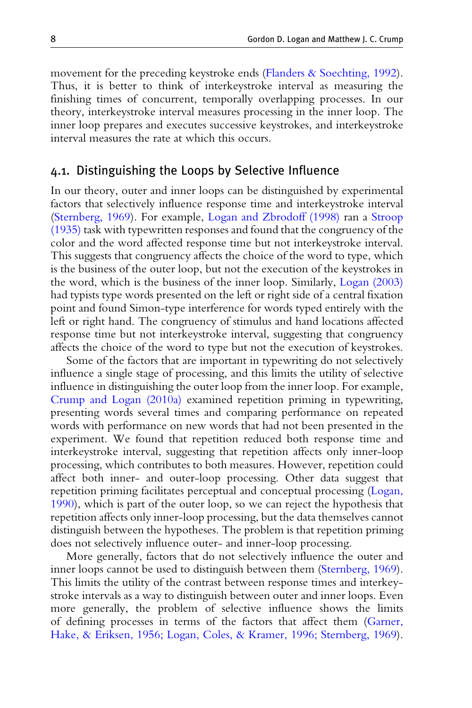movement for the preceding keystroke ends [\(Flanders & Soechting, 1992\)](#page-24-0). Thus, it is better to think of interkeystroke interval as measuring the finishing times of concurrent, temporally overlapping processes. In our theory, interkeystroke interval measures processing in the inner loop. The inner loop prepares and executes successive keystrokes, and interkeystroke interval measures the rate at which this occurs.

# 4.1. Distinguishing the Loops by Selective Influence

In our theory, outer and inner loops can be distinguished by experimental factors that selectively influence response time and interkeystroke interval ([Sternberg, 1969](#page-27-0)). For example, [Logan and Zbrodoff \(1998\)](#page-25-0) ran a [Stroop](#page-27-0) [\(1935\)](#page-27-0) task with typewritten responses and found that the congruency of the color and the word affected response time but not interkeystroke interval. This suggests that congruency affects the choice of the word to type, which is the business of the outer loop, but not the execution of the keystrokes in the word, which is the business of the inner loop. Similarly, [Logan \(2003\)](#page-25-0) had typists type words presented on the left or right side of a central fixation point and found Simon-type interference for words typed entirely with the left or right hand. The congruency of stimulus and hand locations affected response time but not interkeystroke interval, suggesting that congruency affects the choice of the word to type but not the execution of keystrokes.

Some of the factors that are important in typewriting do not selectively influence a single stage of processing, and this limits the utility of selective influence in distinguishing the outer loop from the inner loop. For example, [Crump and Logan \(2010a\)](#page-24-0) examined repetition priming in typewriting, presenting words several times and comparing performance on repeated words with performance on new words that had not been presented in the experiment. We found that repetition reduced both response time and interkeystroke interval, suggesting that repetition affects only inner-loop processing, which contributes to both measures. However, repetition could affect both inner- and outer-loop processing. Other data suggest that repetition priming facilitates perceptual and conceptual processing [\(Logan,](#page-25-0) [1990\)](#page-25-0), which is part of the outer loop, so we can reject the hypothesis that repetition affects only inner-loop processing, but the data themselves cannot distinguish between the hypotheses. The problem is that repetition priming does not selectively influence outer- and inner-loop processing.

More generally, factors that do not selectively influence the outer and inner loops cannot be used to distinguish between them [\(Sternberg, 1969\)](#page-27-0). This limits the utility of the contrast between response times and interkeystroke intervals as a way to distinguish between outer and inner loops. Even more generally, the problem of selective influence shows the limits of defining processes in terms of the factors that affect them [\(Garner,](#page-24-0) [Hake, & Eriksen, 1956; Logan, Coles, & Kramer, 1996; Sternberg, 1969\)](#page-24-0).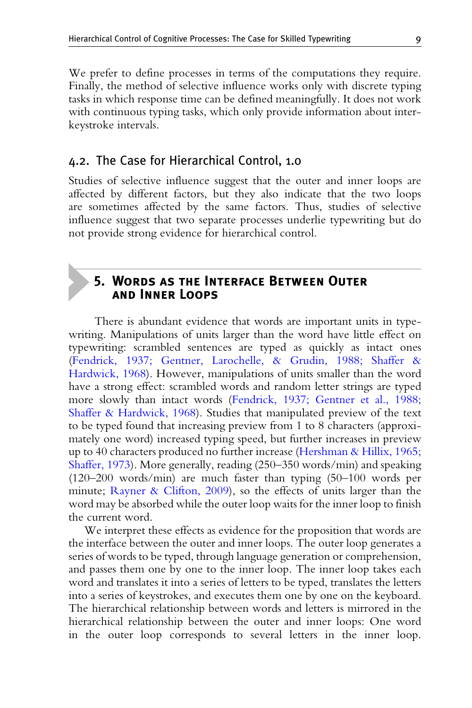We prefer to define processes in terms of the computations they require. Finally, the method of selective influence works only with discrete typing tasks in which response time can be defined meaningfully. It does not work with continuous typing tasks, which only provide information about interkeystroke intervals.

#### 4.2. The Case for Hierarchical Control, 1.0

Studies of selective influence suggest that the outer and inner loops are affected by different factors, but they also indicate that the two loops are sometimes affected by the same factors. Thus, studies of selective influence suggest that two separate processes underlie typewriting but do not provide strong evidence for hierarchical control.

## 5. Words as the Interface Between Outer and Inner Loops

There is abundant evidence that words are important units in typewriting. Manipulations of units larger than the word have little effect on typewriting: scrambled sentences are typed as quickly as intact ones [\(Fendrick, 1937; Gentner, Larochelle, & Grudin, 1988; Shaffer &](#page-24-0) [Hardwick, 1968\)](#page-24-0). However, manipulations of units smaller than the word have a strong effect: scrambled words and random letter strings are typed more slowly than intact words [\(Fendrick, 1937; Gentner et al., 1988;](#page-24-0) [Shaffer & Hardwick, 1968](#page-24-0)). Studies that manipulated preview of the text to be typed found that increasing preview from 1 to 8 characters (approximately one word) increased typing speed, but further increases in preview up to 40 characters produced no further increase ([Hershman & Hillix, 1965;](#page-24-0) [Shaffer, 1973](#page-24-0)). More generally, reading (250–350 words/min) and speaking (120–200 words/min) are much faster than typing (50–100 words per minute; [Rayner & Clifton, 2009](#page-26-0)), so the effects of units larger than the word may be absorbed while the outer loop waits for the inner loop to finish the current word.

We interpret these effects as evidence for the proposition that words are the interface between the outer and inner loops. The outer loop generates a series of words to be typed, through language generation or comprehension, and passes them one by one to the inner loop. The inner loop takes each word and translates it into a series of letters to be typed, translates the letters into a series of keystrokes, and executes them one by one on the keyboard. The hierarchical relationship between words and letters is mirrored in the hierarchical relationship between the outer and inner loops: One word in the outer loop corresponds to several letters in the inner loop.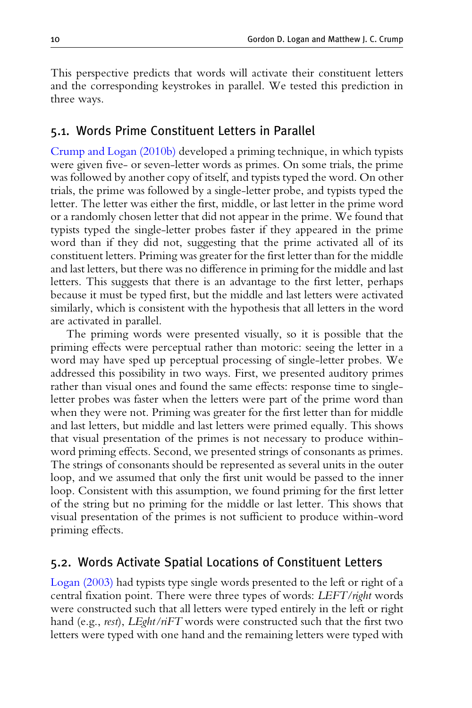This perspective predicts that words will activate their constituent letters and the corresponding keystrokes in parallel. We tested this prediction in three ways.

## 5.1. Words Prime Constituent Letters in Parallel

[Crump and Logan \(2010b\)](#page-24-0) developed a priming technique, in which typists were given five- or seven-letter words as primes. On some trials, the prime was followed by another copy of itself, and typists typed the word. On other trials, the prime was followed by a single-letter probe, and typists typed the letter. The letter was either the first, middle, or last letter in the prime word or a randomly chosen letter that did not appear in the prime. We found that typists typed the single-letter probes faster if they appeared in the prime word than if they did not, suggesting that the prime activated all of its constituent letters. Priming was greater for the first letter than for the middle and last letters, but there was no difference in priming for the middle and last letters. This suggests that there is an advantage to the first letter, perhaps because it must be typed first, but the middle and last letters were activated similarly, which is consistent with the hypothesis that all letters in the word are activated in parallel.

The priming words were presented visually, so it is possible that the priming effects were perceptual rather than motoric: seeing the letter in a word may have sped up perceptual processing of single-letter probes. We addressed this possibility in two ways. First, we presented auditory primes rather than visual ones and found the same effects: response time to singleletter probes was faster when the letters were part of the prime word than when they were not. Priming was greater for the first letter than for middle and last letters, but middle and last letters were primed equally. This shows that visual presentation of the primes is not necessary to produce withinword priming effects. Second, we presented strings of consonants as primes. The strings of consonants should be represented as several units in the outer loop, and we assumed that only the first unit would be passed to the inner loop. Consistent with this assumption, we found priming for the first letter of the string but no priming for the middle or last letter. This shows that visual presentation of the primes is not sufficient to produce within-word priming effects.

# 5.2. Words Activate Spatial Locations of Constituent Letters

[Logan \(2003\)](#page-25-0) had typists type single words presented to the left or right of a central fixation point. There were three types of words: LEFT/right words were constructed such that all letters were typed entirely in the left or right hand (e.g., rest), LEght/riFT words were constructed such that the first two letters were typed with one hand and the remaining letters were typed with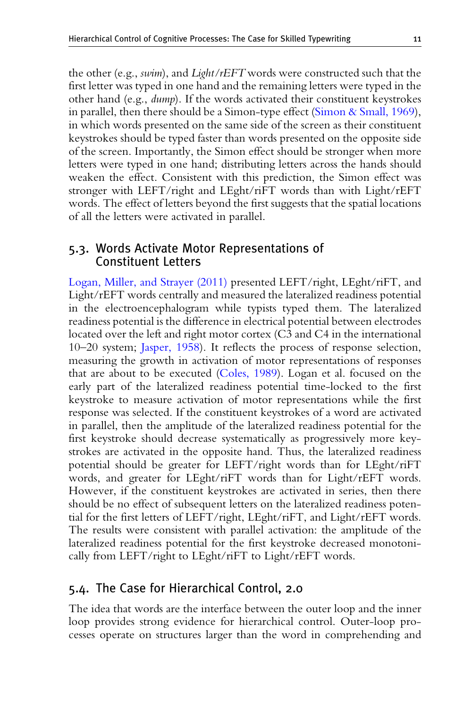the other (e.g., *swim*), and *Light/rEFT* words were constructed such that the first letter was typed in one hand and the remaining letters were typed in the other hand (e.g., dump). If the words activated their constituent keystrokes in parallel, then there should be a Simon-type effect [\(Simon & Small, 1969](#page-26-0)), in which words presented on the same side of the screen as their constituent keystrokes should be typed faster than words presented on the opposite side of the screen. Importantly, the Simon effect should be stronger when more letters were typed in one hand; distributing letters across the hands should weaken the effect. Consistent with this prediction, the Simon effect was stronger with LEFT/right and LEght/riFT words than with Light/rEFT words. The effect of letters beyond the first suggests that the spatial locations of all the letters were activated in parallel.

#### 5.3. Words Activate Motor Representations of Constituent Letters

[Logan, Miller, and Strayer \(2011\)](#page-25-0) presented LEFT/right, LEght/riFT, and Light/rEFT words centrally and measured the lateralized readiness potential in the electroencephalogram while typists typed them. The lateralized readiness potential is the difference in electrical potential between electrodes located over the left and right motor cortex (C3 and C4 in the international 10–20 system; [Jasper, 1958\)](#page-24-0). It reflects the process of response selection, measuring the growth in activation of motor representations of responses that are about to be executed ([Coles, 1989\)](#page-23-0). Logan et al. focused on the early part of the lateralized readiness potential time-locked to the first keystroke to measure activation of motor representations while the first response was selected. If the constituent keystrokes of a word are activated in parallel, then the amplitude of the lateralized readiness potential for the first keystroke should decrease systematically as progressively more keystrokes are activated in the opposite hand. Thus, the lateralized readiness potential should be greater for LEFT/right words than for LEght/riFT words, and greater for LEght/riFT words than for Light/rEFT words. However, if the constituent keystrokes are activated in series, then there should be no effect of subsequent letters on the lateralized readiness potential for the first letters of LEFT/right, LEght/riFT, and Light/rEFT words. The results were consistent with parallel activation: the amplitude of the lateralized readiness potential for the first keystroke decreased monotonically from LEFT/right to LEght/riFT to Light/rEFT words.

## 5.4. The Case for Hierarchical Control, 2.0

The idea that words are the interface between the outer loop and the inner loop provides strong evidence for hierarchical control. Outer-loop processes operate on structures larger than the word in comprehending and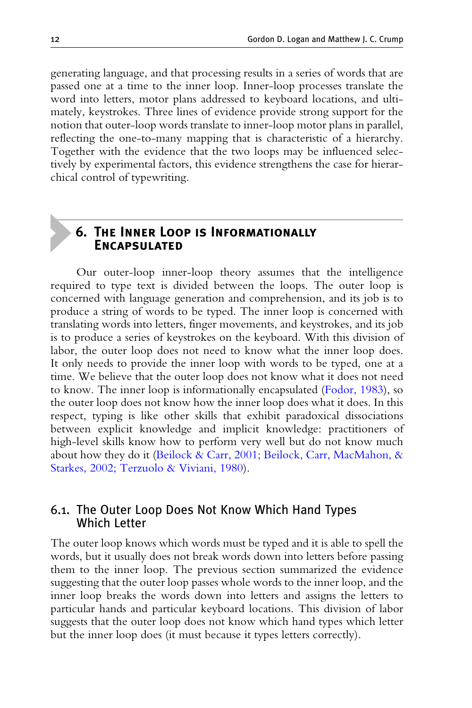generating language, and that processing results in a series of words that are passed one at a time to the inner loop. Inner-loop processes translate the word into letters, motor plans addressed to keyboard locations, and ultimately, keystrokes. Three lines of evidence provide strong support for the notion that outer-loop words translate to inner-loop motor plans in parallel, reflecting the one-to-many mapping that is characteristic of a hierarchy. Together with the evidence that the two loops may be influenced selectively by experimental factors, this evidence strengthens the case for hierarchical control of typewriting.

# 6. The Inner Loop is Informationally Encapsulated

Our outer-loop inner-loop theory assumes that the intelligence required to type text is divided between the loops. The outer loop is concerned with language generation and comprehension, and its job is to produce a string of words to be typed. The inner loop is concerned with translating words into letters, finger movements, and keystrokes, and its job is to produce a series of keystrokes on the keyboard. With this division of labor, the outer loop does not need to know what the inner loop does. It only needs to provide the inner loop with words to be typed, one at a time. We believe that the outer loop does not know what it does not need to know. The inner loop is informationally encapsulated [\(Fodor, 1983\)](#page-24-0), so the outer loop does not know how the inner loop does what it does. In this respect, typing is like other skills that exhibit paradoxical dissociations between explicit knowledge and implicit knowledge: practitioners of high-level skills know how to perform very well but do not know much about how they do it ([Beilock & Carr, 2001; Beilock, Carr, MacMahon, &](#page-23-0) [Starkes, 2002; Terzuolo & Viviani, 1980\)](#page-23-0).

## 6.1. The Outer Loop Does Not Know Which Hand Types Which Letter

The outer loop knows which words must be typed and it is able to spell the words, but it usually does not break words down into letters before passing them to the inner loop. The previous section summarized the evidence suggesting that the outer loop passes whole words to the inner loop, and the inner loop breaks the words down into letters and assigns the letters to particular hands and particular keyboard locations. This division of labor suggests that the outer loop does not know which hand types which letter but the inner loop does (it must because it types letters correctly).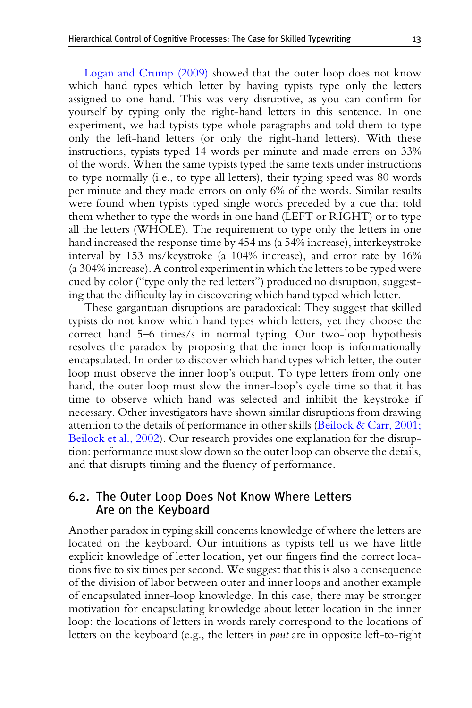[Logan and Crump \(2009\)](#page-25-0) showed that the outer loop does not know which hand types which letter by having typists type only the letters assigned to one hand. This was very disruptive, as you can confirm for yourself by typing only the right-hand letters in this sentence. In one experiment, we had typists type whole paragraphs and told them to type only the left-hand letters (or only the right-hand letters). With these instructions, typists typed 14 words per minute and made errors on 33% of the words. When the same typists typed the same texts under instructions to type normally (i.e., to type all letters), their typing speed was 80 words per minute and they made errors on only 6% of the words. Similar results were found when typists typed single words preceded by a cue that told them whether to type the words in one hand (LEFT or RIGHT) or to type all the letters (WHOLE). The requirement to type only the letters in one hand increased the response time by 454 ms (a 54% increase), interkeystroke interval by 153 ms/keystroke (a 104% increase), and error rate by 16% (a 304% increase). A control experiment in which the letters to be typed were cued by color ("type only the red letters") produced no disruption, suggesting that the difficulty lay in discovering which hand typed which letter.

These gargantuan disruptions are paradoxical: They suggest that skilled typists do not know which hand types which letters, yet they choose the correct hand 5–6 times/s in normal typing. Our two-loop hypothesis resolves the paradox by proposing that the inner loop is informationally encapsulated. In order to discover which hand types which letter, the outer loop must observe the inner loop's output. To type letters from only one hand, the outer loop must slow the inner-loop's cycle time so that it has time to observe which hand was selected and inhibit the keystroke if necessary. Other investigators have shown similar disruptions from drawing attention to the details of performance in other skills [\(Beilock & Carr, 2001;](#page-23-0) [Beilock et al., 2002\)](#page-23-0). Our research provides one explanation for the disruption: performance must slow down so the outer loop can observe the details, and that disrupts timing and the fluency of performance.

#### 6.2. The Outer Loop Does Not Know Where Letters Are on the Keyboard

Another paradox in typing skill concerns knowledge of where the letters are located on the keyboard. Our intuitions as typists tell us we have little explicit knowledge of letter location, yet our fingers find the correct locations five to six times per second. We suggest that this is also a consequence of the division of labor between outer and inner loops and another example of encapsulated inner-loop knowledge. In this case, there may be stronger motivation for encapsulating knowledge about letter location in the inner loop: the locations of letters in words rarely correspond to the locations of letters on the keyboard (e.g., the letters in pout are in opposite left-to-right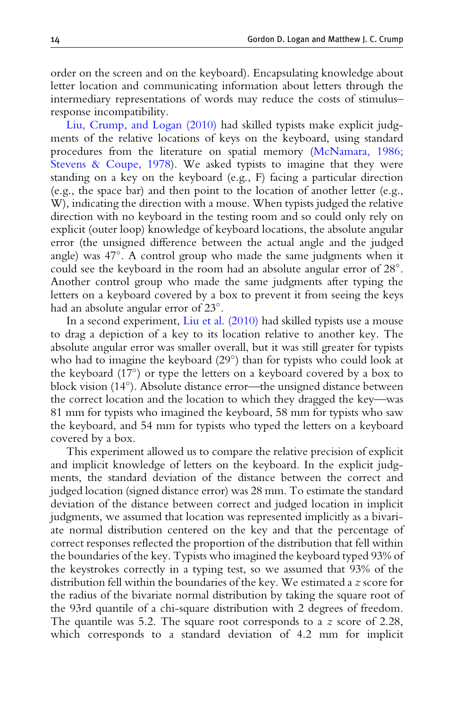order on the screen and on the keyboard). Encapsulating knowledge about letter location and communicating information about letters through the intermediary representations of words may reduce the costs of stimulus– response incompatibility.

[Liu, Crump, and Logan \(2010\)](#page-25-0) had skilled typists make explicit judgments of the relative locations of keys on the keyboard, using standard procedures from the literature on spatial memory ([McNamara, 1986;](#page-25-0) [Stevens & Coupe, 1978](#page-25-0)). We asked typists to imagine that they were standing on a key on the keyboard (e.g., F) facing a particular direction (e.g., the space bar) and then point to the location of another letter (e.g., W), indicating the direction with a mouse. When typists judged the relative direction with no keyboard in the testing room and so could only rely on explicit (outer loop) knowledge of keyboard locations, the absolute angular error (the unsigned difference between the actual angle and the judged angle) was 47°. A control group who made the same judgments when it could see the keyboard in the room had an absolute angular error of 28°. Another control group who made the same judgments after typing the letters on a keyboard covered by a box to prevent it from seeing the keys had an absolute angular error of 23°.

In a second experiment, [Liu et al. \(2010\)](#page-25-0) had skilled typists use a mouse to drag a depiction of a key to its location relative to another key. The absolute angular error was smaller overall, but it was still greater for typists who had to imagine the keyboard (29°) than for typists who could look at the keyboard (17°) or type the letters on a keyboard covered by a box to block vision (14°). Absolute distance error—the unsigned distance between the correct location and the location to which they dragged the key—was 81 mm for typists who imagined the keyboard, 58 mm for typists who saw the keyboard, and 54 mm for typists who typed the letters on a keyboard covered by a box.

This experiment allowed us to compare the relative precision of explicit and implicit knowledge of letters on the keyboard. In the explicit judgments, the standard deviation of the distance between the correct and judged location (signed distance error) was 28 mm. To estimate the standard deviation of the distance between correct and judged location in implicit judgments, we assumed that location was represented implicitly as a bivariate normal distribution centered on the key and that the percentage of correct responses reflected the proportion of the distribution that fell within the boundaries of the key. Typists who imagined the keyboard typed 93% of the keystrokes correctly in a typing test, so we assumed that 93% of the distribution fell within the boundaries of the key. We estimated a  $z$  score for the radius of the bivariate normal distribution by taking the square root of the 93rd quantile of a chi-square distribution with 2 degrees of freedom. The quantile was 5.2. The square root corresponds to a  $z$  score of 2.28, which corresponds to a standard deviation of 4.2 mm for implicit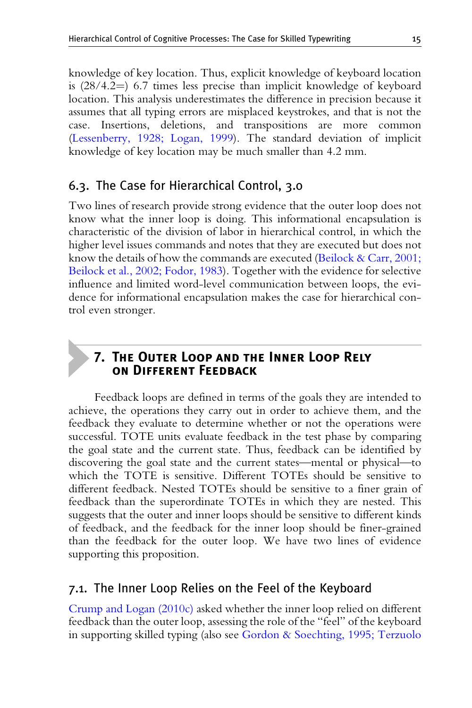knowledge of key location. Thus, explicit knowledge of keyboard location is  $(28/4.2=)$  6.7 times less precise than implicit knowledge of keyboard location. This analysis underestimates the difference in precision because it assumes that all typing errors are misplaced keystrokes, and that is not the case. Insertions, deletions, and transpositions are more common [\(Lessenberry, 1928; Logan, 1999](#page-24-0)). The standard deviation of implicit knowledge of key location may be much smaller than 4.2 mm.

# 6.3. The Case for Hierarchical Control, 3.0

Two lines of research provide strong evidence that the outer loop does not know what the inner loop is doing. This informational encapsulation is characteristic of the division of labor in hierarchical control, in which the higher level issues commands and notes that they are executed but does not know the details of how the commands are executed [\(Beilock & Carr, 2001;](#page-23-0) [Beilock et al., 2002; Fodor, 1983\)](#page-23-0). Together with the evidence for selective influence and limited word-level communication between loops, the evidence for informational encapsulation makes the case for hierarchical control even stronger.

## 7. The Outer Loop and the Inner Loop Rely on Different Feedback

Feedback loops are defined in terms of the goals they are intended to achieve, the operations they carry out in order to achieve them, and the feedback they evaluate to determine whether or not the operations were successful. TOTE units evaluate feedback in the test phase by comparing the goal state and the current state. Thus, feedback can be identified by discovering the goal state and the current states—mental or physical—to which the TOTE is sensitive. Different TOTEs should be sensitive to different feedback. Nested TOTEs should be sensitive to a finer grain of feedback than the superordinate TOTEs in which they are nested. This suggests that the outer and inner loops should be sensitive to different kinds of feedback, and the feedback for the inner loop should be finer-grained than the feedback for the outer loop. We have two lines of evidence supporting this proposition.

## 7.1. The Inner Loop Relies on the Feel of the Keyboard

[Crump and Logan \(2010c\)](#page-24-0) asked whether the inner loop relied on different feedback than the outer loop, assessing the role of the "feel" of the keyboard in supporting skilled typing (also see [Gordon & Soechting, 1995; Terzuolo](#page-24-0)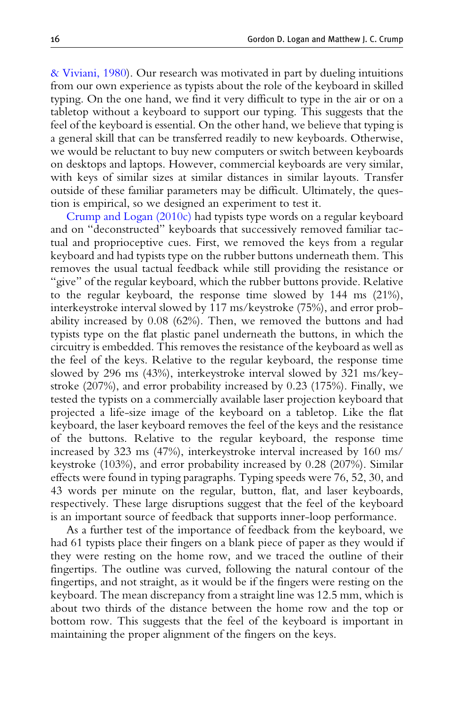[& Viviani, 1980\)](#page-24-0). Our research was motivated in part by dueling intuitions from our own experience as typists about the role of the keyboard in skilled typing. On the one hand, we find it very difficult to type in the air or on a tabletop without a keyboard to support our typing. This suggests that the feel of the keyboard is essential. On the other hand, we believe that typing is a general skill that can be transferred readily to new keyboards. Otherwise, we would be reluctant to buy new computers or switch between keyboards on desktops and laptops. However, commercial keyboards are very similar, with keys of similar sizes at similar distances in similar layouts. Transfer outside of these familiar parameters may be difficult. Ultimately, the question is empirical, so we designed an experiment to test it.

[Crump and Logan \(2010c\)](#page-24-0) had typists type words on a regular keyboard and on "deconstructed" keyboards that successively removed familiar tactual and proprioceptive cues. First, we removed the keys from a regular keyboard and had typists type on the rubber buttons underneath them. This removes the usual tactual feedback while still providing the resistance or "give" of the regular keyboard, which the rubber buttons provide. Relative to the regular keyboard, the response time slowed by 144 ms (21%), interkeystroke interval slowed by 117 ms/keystroke (75%), and error probability increased by 0.08 (62%). Then, we removed the buttons and had typists type on the flat plastic panel underneath the buttons, in which the circuitry is embedded. This removes the resistance of the keyboard as well as the feel of the keys. Relative to the regular keyboard, the response time slowed by 296 ms (43%), interkeystroke interval slowed by 321 ms/keystroke (207%), and error probability increased by 0.23 (175%). Finally, we tested the typists on a commercially available laser projection keyboard that projected a life-size image of the keyboard on a tabletop. Like the flat keyboard, the laser keyboard removes the feel of the keys and the resistance of the buttons. Relative to the regular keyboard, the response time increased by 323 ms (47%), interkeystroke interval increased by 160 ms/ keystroke (103%), and error probability increased by 0.28 (207%). Similar effects were found in typing paragraphs. Typing speeds were 76, 52, 30, and 43 words per minute on the regular, button, flat, and laser keyboards, respectively. These large disruptions suggest that the feel of the keyboard is an important source of feedback that supports inner-loop performance.

As a further test of the importance of feedback from the keyboard, we had 61 typists place their fingers on a blank piece of paper as they would if they were resting on the home row, and we traced the outline of their fingertips. The outline was curved, following the natural contour of the fingertips, and not straight, as it would be if the fingers were resting on the keyboard. The mean discrepancy from a straight line was 12.5 mm, which is about two thirds of the distance between the home row and the top or bottom row. This suggests that the feel of the keyboard is important in maintaining the proper alignment of the fingers on the keys.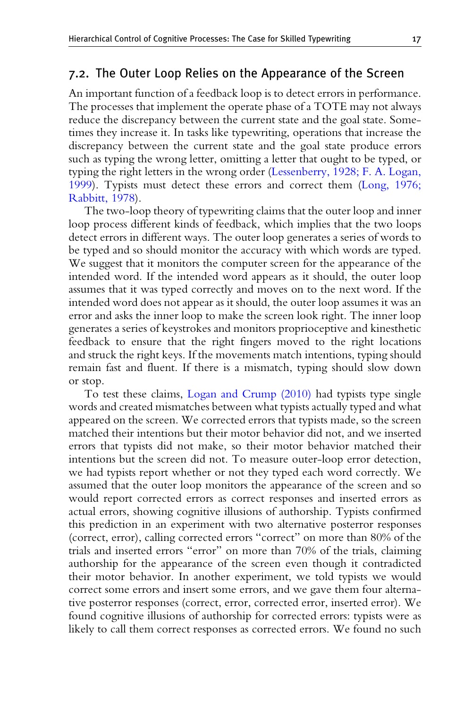## 7.2. The Outer Loop Relies on the Appearance of the Screen

An important function of a feedback loop is to detect errors in performance. The processes that implement the operate phase of a TOTE may not always reduce the discrepancy between the current state and the goal state. Sometimes they increase it. In tasks like typewriting, operations that increase the discrepancy between the current state and the goal state produce errors such as typing the wrong letter, omitting a letter that ought to be typed, or typing the right letters in the wrong order [\(Lessenberry, 1928; F. A. Logan,](#page-24-0) [1999](#page-24-0)). Typists must detect these errors and correct them ([Long, 1976;](#page-25-0) [Rabbitt, 1978](#page-25-0)).

The two-loop theory of typewriting claims that the outer loop and inner loop process different kinds of feedback, which implies that the two loops detect errors in different ways. The outer loop generates a series of words to be typed and so should monitor the accuracy with which words are typed. We suggest that it monitors the computer screen for the appearance of the intended word. If the intended word appears as it should, the outer loop assumes that it was typed correctly and moves on to the next word. If the intended word does not appear as it should, the outer loop assumes it was an error and asks the inner loop to make the screen look right. The inner loop generates a series of keystrokes and monitors proprioceptive and kinesthetic feedback to ensure that the right fingers moved to the right locations and struck the right keys. If the movements match intentions, typing should remain fast and fluent. If there is a mismatch, typing should slow down or stop.

To test these claims, [Logan and Crump \(2010\)](#page-25-0) had typists type single words and created mismatches between what typists actually typed and what appeared on the screen. We corrected errors that typists made, so the screen matched their intentions but their motor behavior did not, and we inserted errors that typists did not make, so their motor behavior matched their intentions but the screen did not. To measure outer-loop error detection, we had typists report whether or not they typed each word correctly. We assumed that the outer loop monitors the appearance of the screen and so would report corrected errors as correct responses and inserted errors as actual errors, showing cognitive illusions of authorship. Typists confirmed this prediction in an experiment with two alternative posterror responses (correct, error), calling corrected errors "correct" on more than 80% of the trials and inserted errors "error" on more than 70% of the trials, claiming authorship for the appearance of the screen even though it contradicted their motor behavior. In another experiment, we told typists we would correct some errors and insert some errors, and we gave them four alternative posterror responses (correct, error, corrected error, inserted error). We found cognitive illusions of authorship for corrected errors: typists were as likely to call them correct responses as corrected errors. We found no such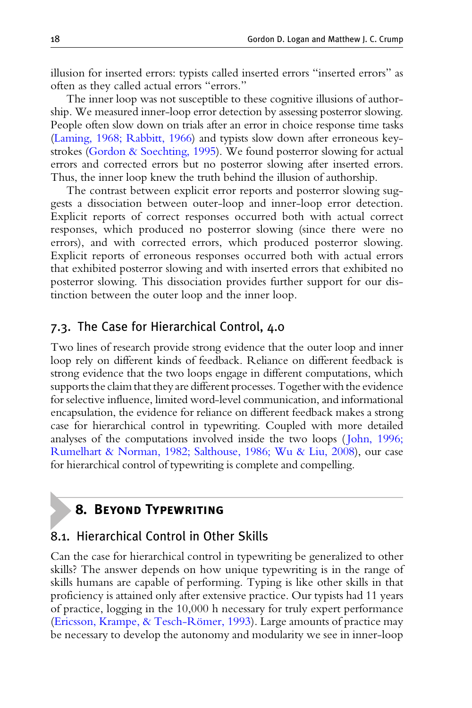illusion for inserted errors: typists called inserted errors "inserted errors" as often as they called actual errors "errors."

The inner loop was not susceptible to these cognitive illusions of authorship. We measured inner-loop error detection by assessing posterror slowing. People often slow down on trials after an error in choice response time tasks ([Laming, 1968; Rabbitt, 1966](#page-24-0)) and typists slow down after erroneous keystrokes [\(Gordon & Soechting, 1995\)](#page-24-0). We found posterror slowing for actual errors and corrected errors but no posterror slowing after inserted errors. Thus, the inner loop knew the truth behind the illusion of authorship.

The contrast between explicit error reports and posterror slowing suggests a dissociation between outer-loop and inner-loop error detection. Explicit reports of correct responses occurred both with actual correct responses, which produced no posterror slowing (since there were no errors), and with corrected errors, which produced posterror slowing. Explicit reports of erroneous responses occurred both with actual errors that exhibited posterror slowing and with inserted errors that exhibited no posterror slowing. This dissociation provides further support for our distinction between the outer loop and the inner loop.

## 7.3. The Case for Hierarchical Control, 4.0

Two lines of research provide strong evidence that the outer loop and inner loop rely on different kinds of feedback. Reliance on different feedback is strong evidence that the two loops engage in different computations, which supports the claim that they are different processes. Together with the evidence for selective influence, limited word-level communication, and informational encapsulation, the evidence for reliance on different feedback makes a strong case for hierarchical control in typewriting. Coupled with more detailed analyses of the computations involved inside the two loops ( [John, 1996;](#page-24-0) [Rumelhart & Norman, 1982; Salthouse, 1986; Wu & Liu, 2008](#page-24-0)), our case for hierarchical control of typewriting is complete and compelling.

# 8. Beyond Typewriting

# 8.1. Hierarchical Control in Other Skills

Can the case for hierarchical control in typewriting be generalized to other skills? The answer depends on how unique typewriting is in the range of skills humans are capable of performing. Typing is like other skills in that proficiency is attained only after extensive practice. Our typists had 11 years of practice, logging in the 10,000 h necessary for truly expert performance (Ericsson, Krampe, & Tesch-Römer, 1993). Large amounts of practice may be necessary to develop the autonomy and modularity we see in inner-loop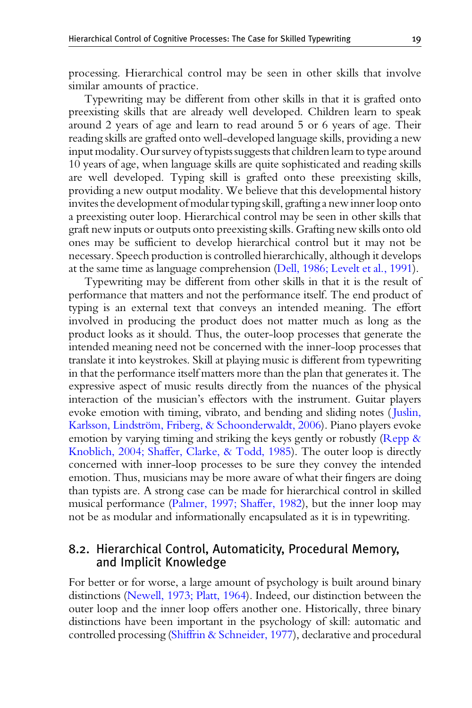processing. Hierarchical control may be seen in other skills that involve similar amounts of practice.

Typewriting may be different from other skills in that it is grafted onto preexisting skills that are already well developed. Children learn to speak around 2 years of age and learn to read around 5 or 6 years of age. Their reading skills are grafted onto well-developed language skills, providing a new input modality. Our survey of typists suggests that children learn to type around 10 years of age, when language skills are quite sophisticated and reading skills are well developed. Typing skill is grafted onto these preexisting skills, providing a new output modality. We believe that this developmental history invites the development of modular typing skill, grafting a new inner loop onto a preexisting outer loop. Hierarchical control may be seen in other skills that graft new inputs or outputs onto preexisting skills. Grafting new skills onto old ones may be sufficient to develop hierarchical control but it may not be necessary. Speech production is controlled hierarchically, although it develops at the same time as language comprehension ([Dell, 1986; Levelt et al., 1991\)](#page-24-0).

Typewriting may be different from other skills in that it is the result of performance that matters and not the performance itself. The end product of typing is an external text that conveys an intended meaning. The effort involved in producing the product does not matter much as long as the product looks as it should. Thus, the outer-loop processes that generate the intended meaning need not be concerned with the inner-loop processes that translate it into keystrokes. Skill at playing music is different from typewriting in that the performance itself matters more than the plan that generates it. The expressive aspect of music results directly from the nuances of the physical interaction of the musician's effectors with the instrument. Guitar players evoke emotion with timing, vibrato, and bending and sliding notes ( [Juslin,](#page-24-0) Karlsson, Lindström, Friberg, & Schoonderwaldt, 2006). Piano players evoke emotion by varying timing and striking the keys gently or robustly (Repp  $\&$ [Knoblich, 2004; Shaffer, Clarke, & Todd, 1985](#page-26-0)). The outer loop is directly concerned with inner-loop processes to be sure they convey the intended emotion. Thus, musicians may be more aware of what their fingers are doing than typists are. A strong case can be made for hierarchical control in skilled musical performance [\(Palmer, 1997; Shaffer, 1982](#page-26-0)), but the inner loop may not be as modular and informationally encapsulated as it is in typewriting.

## 8.2. Hierarchical Control, Automaticity, Procedural Memory, and Implicit Knowledge

For better or for worse, a large amount of psychology is built around binary distinctions [\(Newell, 1973; Platt, 1964](#page-26-0)). Indeed, our distinction between the outer loop and the inner loop offers another one. Historically, three binary distinctions have been important in the psychology of skill: automatic and controlled processing ([Shiffrin & Schneider, 1977](#page-26-0)), declarative and procedural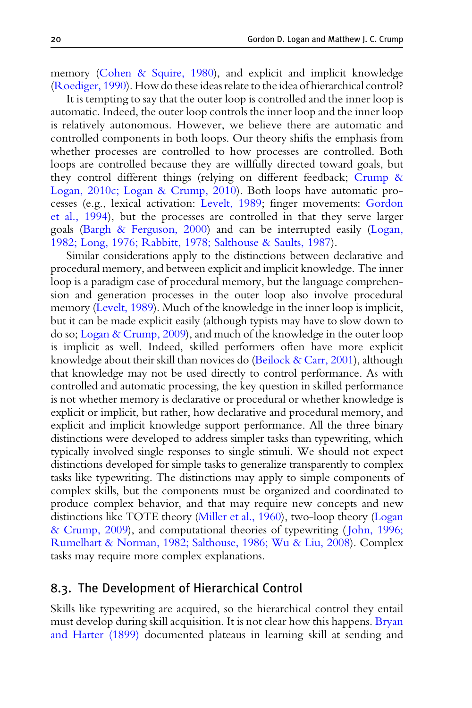memory [\(Cohen & Squire, 1980](#page-23-0)), and explicit and implicit knowledge ([Roediger, 1990](#page-26-0)). How do these ideas relate to the idea of hierarchical control?

It is tempting to say that the outer loop is controlled and the inner loop is automatic. Indeed, the outer loop controls the inner loop and the inner loop is relatively autonomous. However, we believe there are automatic and controlled components in both loops. Our theory shifts the emphasis from whether processes are controlled to how processes are controlled. Both loops are controlled because they are willfully directed toward goals, but they control different things (relying on different feedback; [Crump &](#page-24-0) [Logan, 2010c; Logan & Crump, 2010](#page-24-0)). Both loops have automatic processes (e.g., lexical activation: [Levelt, 1989](#page-25-0); finger movements: [Gordon](#page-24-0) [et al., 1994\)](#page-24-0), but the processes are controlled in that they serve larger goals ([Bargh & Ferguson, 2000](#page-23-0)) and can be interrupted easily [\(Logan,](#page-25-0) [1982; Long, 1976; Rabbitt, 1978; Salthouse & Saults, 1987\)](#page-25-0).

Similar considerations apply to the distinctions between declarative and procedural memory, and between explicit and implicit knowledge. The inner loop is a paradigm case of procedural memory, but the language comprehension and generation processes in the outer loop also involve procedural memory [\(Levelt, 1989](#page-25-0)). Much of the knowledge in the inner loop is implicit, but it can be made explicit easily (although typists may have to slow down to do so; [Logan & Crump, 2009\)](#page-25-0), and much of the knowledge in the outer loop is implicit as well. Indeed, skilled performers often have more explicit knowledge about their skill than novices do [\(Beilock & Carr, 2001\)](#page-23-0), although that knowledge may not be used directly to control performance. As with controlled and automatic processing, the key question in skilled performance is not whether memory is declarative or procedural or whether knowledge is explicit or implicit, but rather, how declarative and procedural memory, and explicit and implicit knowledge support performance. All the three binary distinctions were developed to address simpler tasks than typewriting, which typically involved single responses to single stimuli. We should not expect distinctions developed for simple tasks to generalize transparently to complex tasks like typewriting. The distinctions may apply to simple components of complex skills, but the components must be organized and coordinated to produce complex behavior, and that may require new concepts and new distinctions like TOTE theory [\(Miller et al., 1960](#page-25-0)), two-loop theory ([Logan](#page-25-0) [& Crump, 2009\)](#page-25-0), and computational theories of typewriting ( [John, 1996;](#page-24-0) [Rumelhart & Norman, 1982; Salthouse, 1986; Wu & Liu, 2008](#page-24-0)). Complex tasks may require more complex explanations.

#### 8.3. The Development of Hierarchical Control

Skills like typewriting are acquired, so the hierarchical control they entail must develop during skill acquisition. It is not clear how this happens. [Bryan](#page-23-0) [and Harter \(1899\)](#page-23-0) documented plateaus in learning skill at sending and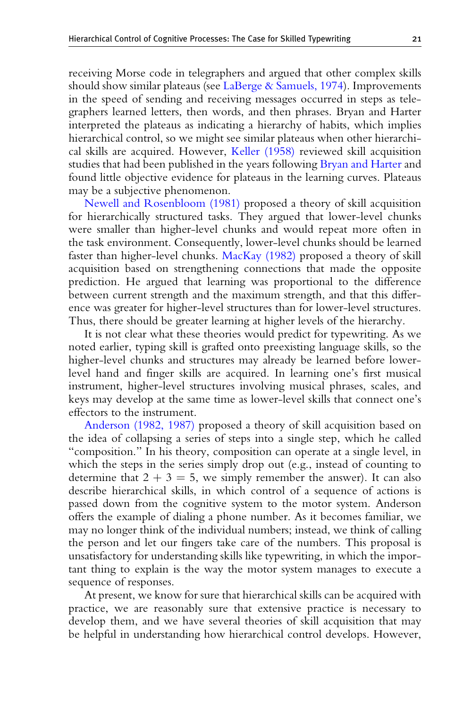receiving Morse code in telegraphers and argued that other complex skills should show similar plateaus (see [LaBerge & Samuels, 1974](#page-24-0)). Improvements in the speed of sending and receiving messages occurred in steps as telegraphers learned letters, then words, and then phrases. Bryan and Harter interpreted the plateaus as indicating a hierarchy of habits, which implies hierarchical control, so we might see similar plateaus when other hierarchical skills are acquired. However, [Keller \(1958\)](#page-24-0) reviewed skill acquisition studies that had been published in the years following [Bryan and Harter](#page-23-0) and found little objective evidence for plateaus in the learning curves. Plateaus may be a subjective phenomenon.

[Newell and Rosenbloom \(1981\)](#page-26-0) proposed a theory of skill acquisition for hierarchically structured tasks. They argued that lower-level chunks were smaller than higher-level chunks and would repeat more often in the task environment. Consequently, lower-level chunks should be learned faster than higher-level chunks. [MacKay \(1982\)](#page-25-0) proposed a theory of skill acquisition based on strengthening connections that made the opposite prediction. He argued that learning was proportional to the difference between current strength and the maximum strength, and that this difference was greater for higher-level structures than for lower-level structures. Thus, there should be greater learning at higher levels of the hierarchy.

It is not clear what these theories would predict for typewriting. As we noted earlier, typing skill is grafted onto preexisting language skills, so the higher-level chunks and structures may already be learned before lowerlevel hand and finger skills are acquired. In learning one's first musical instrument, higher-level structures involving musical phrases, scales, and keys may develop at the same time as lower-level skills that connect one's effectors to the instrument.

[Anderson \(1982, 1987\)](#page-23-0) proposed a theory of skill acquisition based on the idea of collapsing a series of steps into a single step, which he called "composition." In his theory, composition can operate at a single level, in which the steps in the series simply drop out (e.g., instead of counting to determine that  $2 + 3 = 5$ , we simply remember the answer). It can also describe hierarchical skills, in which control of a sequence of actions is passed down from the cognitive system to the motor system. Anderson offers the example of dialing a phone number. As it becomes familiar, we may no longer think of the individual numbers; instead, we think of calling the person and let our fingers take care of the numbers. This proposal is unsatisfactory for understanding skills like typewriting, in which the important thing to explain is the way the motor system manages to execute a sequence of responses.

At present, we know for sure that hierarchical skills can be acquired with practice, we are reasonably sure that extensive practice is necessary to develop them, and we have several theories of skill acquisition that may be helpful in understanding how hierarchical control develops. However,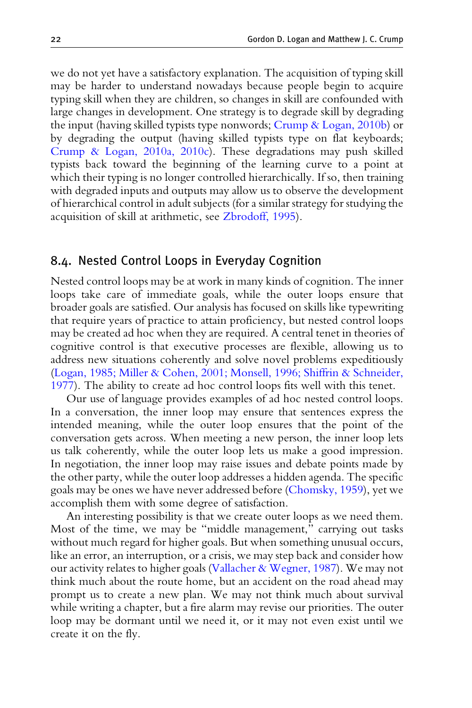we do not yet have a satisfactory explanation. The acquisition of typing skill may be harder to understand nowadays because people begin to acquire typing skill when they are children, so changes in skill are confounded with large changes in development. One strategy is to degrade skill by degrading the input (having skilled typists type nonwords; [Crump & Logan, 2010b](#page-24-0)) or by degrading the output (having skilled typists type on flat keyboards; [Crump & Logan, 2010a, 2010c](#page-24-0)). These degradations may push skilled typists back toward the beginning of the learning curve to a point at which their typing is no longer controlled hierarchically. If so, then training with degraded inputs and outputs may allow us to observe the development of hierarchical control in adult subjects (for a similar strategy for studying the acquisition of skill at arithmetic, see [Zbrodoff, 1995\)](#page-27-0).

#### 8.4. Nested Control Loops in Everyday Cognition

Nested control loops may be at work in many kinds of cognition. The inner loops take care of immediate goals, while the outer loops ensure that broader goals are satisfied. Our analysis has focused on skills like typewriting that require years of practice to attain proficiency, but nested control loops may be created ad hoc when they are required. A central tenet in theories of cognitive control is that executive processes are flexible, allowing us to address new situations coherently and solve novel problems expeditiously ([Logan, 1985; Miller & Cohen, 2001; Monsell, 1996; Shiffrin & Schneider,](#page-25-0) [1977\)](#page-25-0). The ability to create ad hoc control loops fits well with this tenet.

Our use of language provides examples of ad hoc nested control loops. In a conversation, the inner loop may ensure that sentences express the intended meaning, while the outer loop ensures that the point of the conversation gets across. When meeting a new person, the inner loop lets us talk coherently, while the outer loop lets us make a good impression. In negotiation, the inner loop may raise issues and debate points made by the other party, while the outer loop addresses a hidden agenda. The specific goals may be ones we have never addressed before ([Chomsky, 1959](#page-23-0)), yet we accomplish them with some degree of satisfaction.

An interesting possibility is that we create outer loops as we need them. Most of the time, we may be "middle management," carrying out tasks without much regard for higher goals. But when something unusual occurs, like an error, an interruption, or a crisis, we may step back and consider how our activity relates to higher goals ([Vallacher & Wegner, 1987\)](#page-27-0). We may not think much about the route home, but an accident on the road ahead may prompt us to create a new plan. We may not think much about survival while writing a chapter, but a fire alarm may revise our priorities. The outer loop may be dormant until we need it, or it may not even exist until we create it on the fly.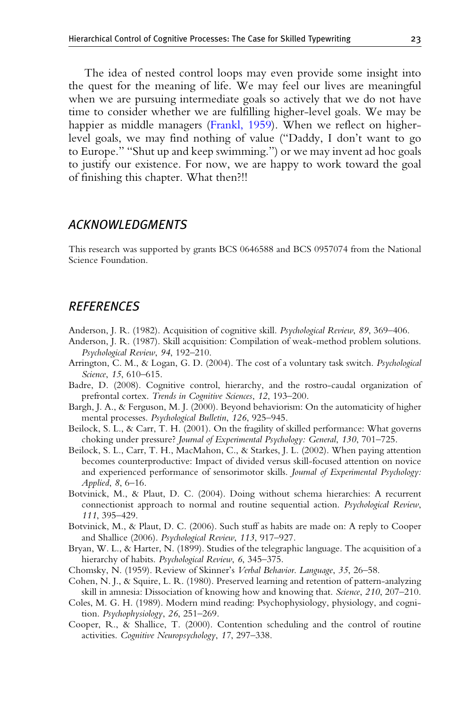<span id="page-23-0"></span>The idea of nested control loops may even provide some insight into the quest for the meaning of life. We may feel our lives are meaningful when we are pursuing intermediate goals so actively that we do not have time to consider whether we are fulfilling higher-level goals. We may be happier as middle managers [\(Frankl, 1959](#page-24-0)). When we reflect on higherlevel goals, we may find nothing of value ("Daddy, I don't want to go to Europe." "Shut up and keep swimming.") or we may invent ad hoc goals to justify our existence. For now, we are happy to work toward the goal of finishing this chapter. What then?!!

#### ACKNOWLEDGMENTS

This research was supported by grants BCS 0646588 and BCS 0957074 from the National Science Foundation.

#### **REFERENCES**

- Anderson, J. R. (1982). Acquisition of cognitive skill. Psychological Review, 89, 369–406.
- Anderson, J. R. (1987). Skill acquisition: Compilation of weak-method problem solutions. Psychological Review, 94, 192–210.
- Arrington, C. M., & Logan, G. D. (2004). The cost of a voluntary task switch. Psychological Science, 15, 610–615.
- Badre, D. (2008). Cognitive control, hierarchy, and the rostro-caudal organization of prefrontal cortex. Trends in Cognitive Sciences, 12, 193–200.
- Bargh, J. A., & Ferguson, M. J. (2000). Beyond behaviorism: On the automaticity of higher mental processes. Psychological Bulletin, 126, 925–945.
- Beilock, S. L., & Carr, T. H. (2001). On the fragility of skilled performance: What governs choking under pressure? Journal of Experimental Psychology: General, 130, 701–725.
- Beilock, S. L., Carr, T. H., MacMahon, C., & Starkes, J. L. (2002). When paying attention becomes counterproductive: Impact of divided versus skill-focused attention on novice and experienced performance of sensorimotor skills. Journal of Experimental Psychology: Applied, 8, 6–16.
- Botvinick, M., & Plaut, D. C. (2004). Doing without schema hierarchies: A recurrent connectionist approach to normal and routine sequential action. Psychological Review, 111, 395–429.
- Botvinick, M., & Plaut, D. C. (2006). Such stuff as habits are made on: A reply to Cooper and Shallice (2006). Psychological Review, 113, 917–927.
- Bryan, W. L., & Harter, N. (1899). Studies of the telegraphic language. The acquisition of a hierarchy of habits. Psychological Review, 6, 345-375.
- Chomsky, N. (1959). Review of Skinner's Verbal Behavior. Language, 35, 26–58.
- Cohen, N. J., & Squire, L. R. (1980). Preserved learning and retention of pattern-analyzing skill in amnesia: Dissociation of knowing how and knowing that. Science, 210, 207–210.
- Coles, M. G. H. (1989). Modern mind reading: Psychophysiology, physiology, and cognition. Psychophysiology, 26, 251–269.
- Cooper, R., & Shallice, T. (2000). Contention scheduling and the control of routine activities. Cognitive Neuropsychology, 17, 297–338.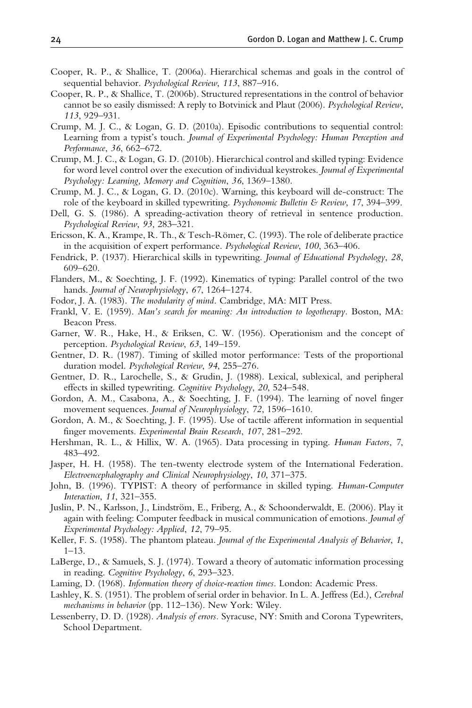- <span id="page-24-0"></span>Cooper, R. P., & Shallice, T. (2006a). Hierarchical schemas and goals in the control of sequential behavior. Psychological Review, 113, 887–916.
- Cooper, R. P., & Shallice, T. (2006b). Structured representations in the control of behavior cannot be so easily dismissed: A reply to Botvinick and Plaut (2006). Psychological Review, 113, 929–931.
- Crump, M. J. C., & Logan, G. D. (2010a). Episodic contributions to sequential control: Learning from a typist's touch. Journal of Experimental Psychology: Human Perception and Performance, 36, 662–672.
- Crump, M. J. C., & Logan, G. D. (2010b). Hierarchical control and skilled typing: Evidence for word level control over the execution of individual keystrokes. Journal of Experimental Psychology: Learning, Memory and Cognition, 36, 1369–1380.
- Crump, M. J. C., & Logan, G. D. (2010c). Warning, this keyboard will de-construct: The role of the keyboard in skilled typewriting. Psychonomic Bulletin & Review, 17, 394–399.
- Dell, G. S. (1986). A spreading-activation theory of retrieval in sentence production. Psychological Review, 93, 283–321.
- Ericsson, K. A., Krampe, R. Th., & Tesch-Römer, C. (1993). The role of deliberate practice in the acquisition of expert performance. Psychological Review, 100, 363–406.
- Fendrick, P. (1937). Hierarchical skills in typewriting. Journal of Educational Psychology, 28, 609–620.
- Flanders, M., & Soechting, J. F. (1992). Kinematics of typing: Parallel control of the two hands. Journal of Neurophysiology, 67, 1264–1274.
- Fodor, J. A. (1983). The modularity of mind. Cambridge, MA: MIT Press.
- Frankl, V. E. (1959). Man's search for meaning: An introduction to logotherapy. Boston, MA: Beacon Press.
- Garner, W. R., Hake, H., & Eriksen, C. W. (1956). Operationism and the concept of perception. Psychological Review, 63, 149–159.
- Gentner, D. R. (1987). Timing of skilled motor performance: Tests of the proportional duration model. Psychological Review, 94, 255–276.
- Gentner, D. R., Larochelle, S., & Grudin, J. (1988). Lexical, sublexical, and peripheral effects in skilled typewriting. Cognitive Psychology, 20, 524–548.
- Gordon, A. M., Casabona, A., & Soechting, J. F. (1994). The learning of novel finger movement sequences. Journal of Neurophysiology, 72, 1596–1610.
- Gordon, A. M., & Soechting, J. F. (1995). Use of tactile afferent information in sequential finger movements. Experimental Brain Research, 107, 281–292.
- Hershman, R. L., & Hillix, W. A. (1965). Data processing in typing. Human Factors, 7, 483–492.
- Jasper, H. H. (1958). The ten-twenty electrode system of the International Federation. Electroencephalography and Clinical Neurophysiology, 10, 371–375.
- John, B. (1996). TYPIST: A theory of performance in skilled typing. Human-Computer Interaction, 11, 321–355.
- Juslin, P. N., Karlsson, J., Lindström, E., Friberg, A., & Schoonderwaldt, E. (2006). Play it again with feeling: Computer feedback in musical communication of emotions. Journal of Experimental Psychology: Applied, 12, 79–95.
- Keller, F. S. (1958). The phantom plateau. Journal of the Experimental Analysis of Behavior, 1, 1–13.
- LaBerge, D., & Samuels, S. J. (1974). Toward a theory of automatic information processing in reading. Cognitive Psychology, 6, 293–323.
- Laming, D. (1968). Information theory of choice-reaction times. London: Academic Press.
- Lashley, K. S. (1951). The problem of serial order in behavior. In L. A. Jeffress (Ed.), Cerebral mechanisms in behavior (pp. 112–136). New York: Wiley.
- Lessenberry, D. D. (1928). Analysis of errors. Syracuse, NY: Smith and Corona Typewriters, School Department.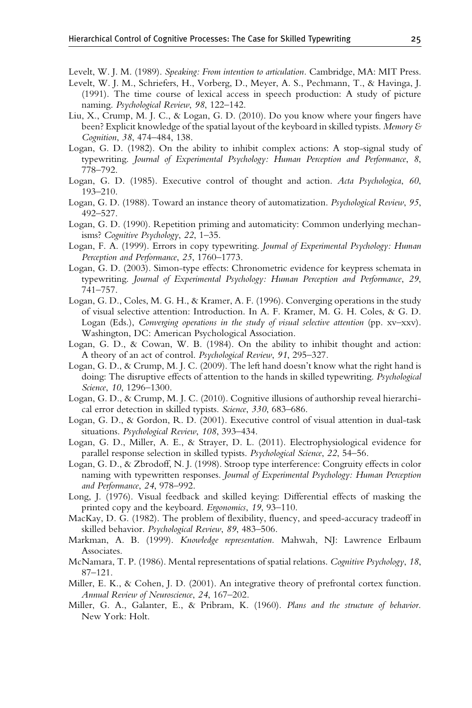- <span id="page-25-0"></span>Levelt, W. J. M. (1989). Speaking: From intention to articulation. Cambridge, MA: MIT Press.
- Levelt, W. J. M., Schriefers, H., Vorberg, D., Meyer, A. S., Pechmann, T., & Havinga, J. (1991). The time course of lexical access in speech production: A study of picture naming. Psychological Review, 98, 122–142.
- Liu, X., Crump, M. J. C., & Logan, G. D. (2010). Do you know where your fingers have been? Explicit knowledge of the spatial layout of the keyboard in skilled typists. Memory & Cognition, 38, 474–484, 138.
- Logan, G. D. (1982). On the ability to inhibit complex actions: A stop-signal study of typewriting. Journal of Experimental Psychology: Human Perception and Performance, 8, 778–792.
- Logan, G. D. (1985). Executive control of thought and action. Acta Psychologica, 60, 193–210.
- Logan, G. D. (1988). Toward an instance theory of automatization. Psychological Review, 95, 492–527.
- Logan, G. D. (1990). Repetition priming and automaticity: Common underlying mechanisms? Cognitive Psychology, 22, 1–35.
- Logan, F. A. (1999). Errors in copy typewriting. Journal of Experimental Psychology: Human Perception and Performance, 25, 1760–1773.
- Logan, G. D. (2003). Simon-type effects: Chronometric evidence for keypress schemata in typewriting. Journal of Experimental Psychology: Human Perception and Performance, 29, 741–757.
- Logan, G. D., Coles, M. G. H., & Kramer, A. F. (1996). Converging operations in the study of visual selective attention: Introduction. In A. F. Kramer, M. G. H. Coles, & G. D. Logan (Eds.), Converging operations in the study of visual selective attention (pp.  $xy-xxy$ ). Washington, DC: American Psychological Association.
- Logan, G. D., & Cowan, W. B. (1984). On the ability to inhibit thought and action: A theory of an act of control. Psychological Review, 91, 295–327.
- Logan, G. D., & Crump, M. J. C. (2009). The left hand doesn't know what the right hand is doing: The disruptive effects of attention to the hands in skilled typewriting. Psychological Science, 10, 1296–1300.
- Logan, G. D., & Crump, M. J. C. (2010). Cognitive illusions of authorship reveal hierarchical error detection in skilled typists. Science, 330, 683–686.
- Logan, G. D., & Gordon, R. D. (2001). Executive control of visual attention in dual-task situations. Psychological Review, 108, 393–434.
- Logan, G. D., Miller, A. E., & Strayer, D. L. (2011). Electrophysiological evidence for parallel response selection in skilled typists. Psychological Science, 22, 54–56.
- Logan, G. D., & Zbrodoff, N. J. (1998). Stroop type interference: Congruity effects in color naming with typewritten responses. Journal of Experimental Psychology: Human Perception and Performance, 24, 978–992.
- Long, J. (1976). Visual feedback and skilled keying: Differential effects of masking the printed copy and the keyboard. Ergonomics, 19, 93–110.
- MacKay, D. G. (1982). The problem of flexibility, fluency, and speed-accuracy tradeoff in skilled behavior. Psychological Review, 89, 483–506.
- Markman, A. B. (1999). Knowledge representation. Mahwah, NJ: Lawrence Erlbaum Associates.
- McNamara, T. P. (1986). Mental representations of spatial relations. Cognitive Psychology, 18, 87–121.
- Miller, E. K., & Cohen, J. D. (2001). An integrative theory of prefrontal cortex function. Annual Review of Neuroscience, 24, 167–202.
- Miller, G. A., Galanter, E., & Pribram, K. (1960). Plans and the structure of behavior. New York: Holt.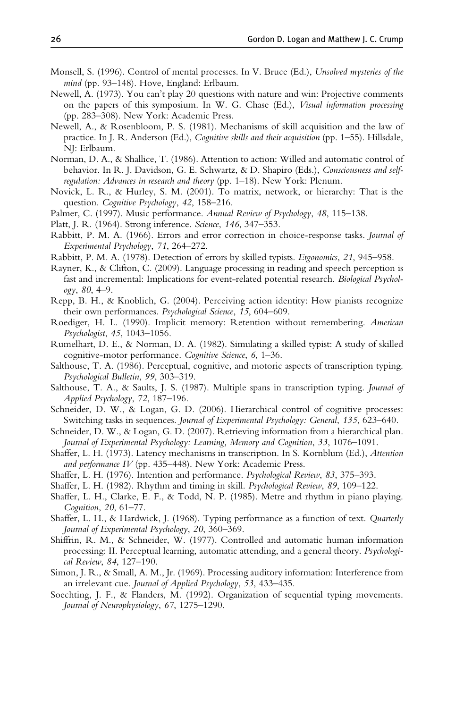- <span id="page-26-0"></span>Monsell, S. (1996). Control of mental processes. In V. Bruce (Ed.), Unsolved mysteries of the mind (pp. 93–148). Hove, England: Erlbaum.
- Newell, A. (1973). You can't play 20 questions with nature and win: Projective comments on the papers of this symposium. In W. G. Chase (Ed.), Visual information processing (pp. 283–308). New York: Academic Press.
- Newell, A., & Rosenbloom, P. S. (1981). Mechanisms of skill acquisition and the law of practice. In J. R. Anderson (Ed.), Cognitive skills and their acquisition (pp. 1–55). Hillsdale, NJ: Erlbaum.
- Norman, D. A., & Shallice, T. (1986). Attention to action: Willed and automatic control of behavior. In R. J. Davidson, G. E. Schwartz, & D. Shapiro (Eds.), Consciousness and selfregulation: Advances in research and theory (pp. 1–18). New York: Plenum.
- Novick, L. R., & Hurley, S. M. (2001). To matrix, network, or hierarchy: That is the question. Cognitive Psychology, 42, 158–216.
- Palmer, C. (1997). Music performance. Annual Review of Psychology, 48, 115–138.
- Platt, J. R. (1964). Strong inference. Science, 146, 347–353.
- Rabbitt, P. M. A. (1966). Errors and error correction in choice-response tasks. Journal of Experimental Psychology, 71, 264–272.
- Rabbitt, P. M. A. (1978). Detection of errors by skilled typists. Ergonomics, 21, 945–958.
- Rayner, K., & Clifton, C. (2009). Language processing in reading and speech perception is fast and incremental: Implications for event-related potential research. Biological Psychology, 80, 4–9.
- Repp, B. H., & Knoblich, G. (2004). Perceiving action identity: How pianists recognize their own performances. Psychological Science, 15, 604–609.
- Roediger, H. L. (1990). Implicit memory: Retention without remembering. American Psychologist, 45, 1043–1056.
- Rumelhart, D. E., & Norman, D. A. (1982). Simulating a skilled typist: A study of skilled cognitive-motor performance. Cognitive Science, 6, 1-36.
- Salthouse, T. A. (1986). Perceptual, cognitive, and motoric aspects of transcription typing. Psychological Bulletin, 99, 303–319.
- Salthouse, T. A., & Saults, J. S. (1987). Multiple spans in transcription typing. Journal of Applied Psychology, 72, 187–196.
- Schneider, D. W., & Logan, G. D. (2006). Hierarchical control of cognitive processes: Switching tasks in sequences. Journal of Experimental Psychology: General, 135, 623–640.
- Schneider, D. W., & Logan, G. D. (2007). Retrieving information from a hierarchical plan. Journal of Experimental Psychology: Learning, Memory and Cognition, 33, 1076–1091.
- Shaffer, L. H. (1973). Latency mechanisms in transcription. In S. Kornblum (Ed.), Attention and performance IV (pp. 435–448). New York: Academic Press.
- Shaffer, L. H. (1976). Intention and performance. Psychological Review, 83, 375–393.
- Shaffer, L. H. (1982). Rhythm and timing in skill. Psychological Review, 89, 109–122.
- Shaffer, L. H., Clarke, E. F., & Todd, N. P. (1985). Metre and rhythm in piano playing. Cognition, 20, 61–77.
- Shaffer, L. H., & Hardwick, J. (1968). Typing performance as a function of text. Quarterly Journal of Experimental Psychology, 20, 360–369.
- Shiffrin, R. M., & Schneider, W. (1977). Controlled and automatic human information processing: II. Perceptual learning, automatic attending, and a general theory. Psychological Review, 84, 127–190.
- Simon, J. R., & Small, A. M., Jr. (1969). Processing auditory information: Interference from an irrelevant cue. Journal of Applied Psychology, 53, 433–435.
- Soechting, J. F., & Flanders, M. (1992). Organization of sequential typing movements. Journal of Neurophysiology, 67, 1275–1290.